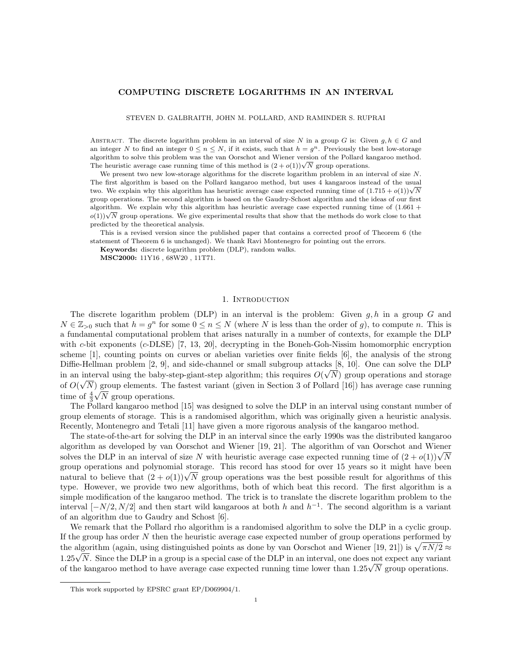# COMPUTING DISCRETE LOGARITHMS IN AN INTERVAL

STEVEN D. GALBRAITH, JOHN M. POLLARD, AND RAMINDER S. RUPRAI

ABSTRACT. The discrete logarithm problem in an interval of size N in a group G is: Given  $g, h \in G$  and an integer N to find an integer  $0 \le n \le N$ , if it exists, such that  $h = g<sup>n</sup>$ . Previously the best low-storage algorithm to solve this problem was the van Oorschot and Wiener version of the Pollard kangaroo method. algorithm to solve this problem was the van Oorschot and Wiener version of the Pollard k.<br>The heuristic average case running time of this method is  $(2 + o(1))\sqrt{N}$  group operations.

We present two new low-storage algorithms for the discrete logarithm problem in an interval of size  $N$ . The first algorithm is based on the Pollard kangaroo method, but uses 4 kangaroos instead of the usual The first algorithm is based on the Pollard kangaroo method, but uses 4 kangaroos instead of the usual two. We explain why this algorithm has heuristic average case expected running time of  $(1.715 + o(1))\sqrt{N}$ group operations. The second algorithm is based on the Gaudry-Schost algorithm and the ideas of our first algorithm. We explain why this algorithm has heuristic average case expected running time of  $(1.661 +$ algorithm. We explain why this algorithm has heuristic average case expected running time of (1.001 +  $o(1)$ ) $\sqrt{N}$  group operations. We give experimental results that show that the methods do work close to that predicted by the theoretical analysis.

This is a revised version since the published paper that contains a corrected proof of Theorem 6 (the statement of Theorem 6 is unchanged). We thank Ravi Montenegro for pointing out the errors.

Keywords: discrete logarithm problem (DLP), random walks. MSC2000: 11Y16 , 68W20 , 11T71.

### 1. INTRODUCTION

The discrete logarithm problem (DLP) in an interval is the problem: Given  $q, h$  in a group G and  $N \in \mathbb{Z}_{\geq 0}$  such that  $h = g^n$  for some  $0 \leq n \leq N$  (where N is less than the order of g), to compute n. This is a fundamental computational problem that arises naturally in a number of contexts, for example the DLP with c-bit exponents (c-DLSE) [7, 13, 20], decrypting in the Boneh-Goh-Nissim homomorphic encryption scheme [1], counting points on curves or abelian varieties over finite fields [6], the analysis of the strong Diffie-Hellman problem  $[2, 9]$ , and side-channel or small subgroup attacks  $[8, 10]$ . One can solve the DLP in an interval using the baby-step-giant-step algorithm; this requires  $O(\sqrt{N})$  group operations and storage of  $O(\sqrt{N})$  group elements. The fastest variant (given in Section 3 of Pollard [16]) has average case running time of  $\frac{4}{3}\sqrt{N}$  group operations.

The Pollard kangaroo method [15] was designed to solve the DLP in an interval using constant number of group elements of storage. This is a randomised algorithm, which was originally given a heuristic analysis. Recently, Montenegro and Tetali [11] have given a more rigorous analysis of the kangaroo method.

The state-of-the-art for solving the DLP in an interval since the early 1990s was the distributed kangaroo algorithm as developed by van Oorschot and Wiener [19, 21]. The algorithm of van Oorschot and Wiener solves the DLP in an interval of size N with heuristic average case expected running time of  $(2+o(1))\sqrt{N}$ group operations and polynomial storage. This record has stood for over 15 years so it might have been group operations and polynomial storage. This record has stood for over 15 years so it might have been<br>natural to believe that  $(2 + o(1))\sqrt{N}$  group operations was the best possible result for algorithms of this type. However, we provide two new algorithms, both of which beat this record. The first algorithm is a simple modification of the kangaroo method. The trick is to translate the discrete logarithm problem to the interval  $[-N/2, N/2]$  and then start wild kangaroos at both h and  $h^{-1}$ . The second algorithm is a variant of an algorithm due to Gaudry and Schost [6].

We remark that the Pollard rho algorithm is a randomised algorithm to solve the DLP in a cyclic group. If the group has order N then the heuristic average case expected number of group operations performed by the algorithm (again, using distinguished points as done by van Oorschot and Wiener [19, 21]) is  $\sqrt{\pi N/2} \approx$  $1.25\sqrt{N}$ . Since the DLP in a group is a special case of the DLP in an interval, one does not expect any variant 1.25 $\sqrt{N}$ . Since the DLP in a group is a special case of the DLP in an interval, one does not expect any varian<br>of the kangaroo method to have average case expected running time lower than 1.25 $\sqrt{N}$  group operations.

This work supported by EPSRC grant EP/D069904/1.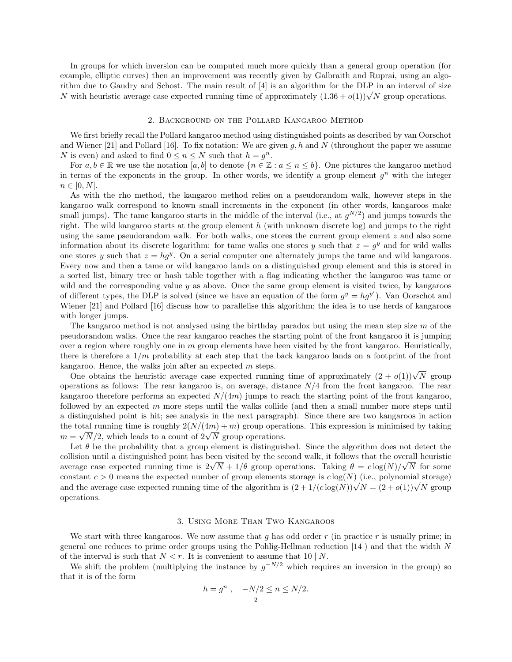In groups for which inversion can be computed much more quickly than a general group operation (for example, elliptic curves) then an improvement was recently given by Galbraith and Ruprai, using an algorithm due to Gaudry and Schost. The main result of [4] is an algorithm for the DLP in an interval of size The measure of Gaudry and Schost. The main result of [4] is an algorithm for the DLF in an interval of size  $N$  with heuristic average case expected running time of approximately  $(1.36 + o(1))\sqrt{N}$  group operations.

## 2. Background on the Pollard Kangaroo Method

We first briefly recall the Pollard kangaroo method using distinguished points as described by van Oorschot and Wiener [21] and Pollard [16]. To fix notation: We are given q, h and N (throughout the paper we assume N is even) and asked to find  $0 \le n \le N$  such that  $h = g^n$ .

For  $a, b \in \mathbb{R}$  we use the notation  $[a, b]$  to denote  $\{n \in \mathbb{Z} : a \leq n \leq b\}$ . One pictures the kangaroo method in terms of the exponents in the group. In other words, we identify a group element  $g<sup>n</sup>$  with the integer  $n \in [0, N].$ 

As with the rho method, the kangaroo method relies on a pseudorandom walk, however steps in the kangaroo walk correspond to known small increments in the exponent (in other words, kangaroos make small jumps). The tame kangaroo starts in the middle of the interval (i.e., at  $g^{N/2}$ ) and jumps towards the right. The wild kangaroo starts at the group element h (with unknown discrete log) and jumps to the right using the same pseudorandom walk. For both walks, one stores the current group element z and also some information about its discrete logarithm: for tame walks one stores y such that  $z = g<sup>y</sup>$  and for wild walks one stores y such that  $z = hg^y$ . On a serial computer one alternately jumps the tame and wild kangaroos. Every now and then a tame or wild kangaroo lands on a distinguished group element and this is stored in a sorted list, binary tree or hash table together with a flag indicating whether the kangaroo was tame or wild and the corresponding value  $y$  as above. Once the same group element is visited twice, by kangaroos of different types, the DLP is solved (since we have an equation of the form  $g^y = hg^{y'}$ ). Van Oorschot and Wiener [21] and Pollard [16] discuss how to parallelise this algorithm; the idea is to use herds of kangaroos with longer jumps.

The kangaroo method is not analysed using the birthday paradox but using the mean step size m of the pseudorandom walks. Once the rear kangaroo reaches the starting point of the front kangaroo it is jumping over a region where roughly one in  $m$  group elements have been visited by the front kangaroo. Heuristically, there is therefore a  $1/m$  probability at each step that the back kangaroo lands on a footprint of the front kangaroo. Hence, the walks join after an expected m steps.

of 19 notative. The values from all the respected  $m$  steps.<br>One obtains the heuristic average case expected running time of approximately  $(2 + o(1))\sqrt{N}$  group operations as follows: The rear kangaroo is, on average, distance  $N/4$  from the front kangaroo. The rear kangaroo therefore performs an expected  $N/(4m)$  jumps to reach the starting point of the front kangaroo, followed by an expected m more steps until the walks collide (and then a small number more steps until a distinguished point is hit; see analysis in the next paragraph). Since there are two kangaroos in action the total running time is roughly  $2(N/(4m) + m)$  group operations. This expression is minimised by taking the total running time is roughly  $2(N/(4m) + m)$  group operations.<br>  $m = \sqrt{N}/2$ , which leads to a count of  $2\sqrt{N}$  group operations.

Let  $\theta$  be the probability that a group element is distinguished. Since the algorithm does not detect the collision until a distinguished point has been visited by the second walk, it follows that the overall heuristic comsion until a distinguished point has been visited by the second walk, it follows that the overall heuristic<br>average case expected running time is  $2\sqrt{N}+1/\theta$  group operations. Taking  $\theta = c\log(N)/\sqrt{N}$  for some constant  $c > 0$  means the expected number of group elements storage is  $c \log(N)$  (i.e., polynomial storage) constant  $c > 0$  means the expected number of group elements storage is  $c \log(N)$  (i.e., polynomial storage) and the average case expected running time of the algorithm is  $(2 + 1/(c \log(N))\sqrt{N} = (2 + o(1))\sqrt{N}$  group operations.

### 3. Using More Than Two Kangaroos

We start with three kangaroos. We now assume that  $g$  has odd order  $r$  (in practice  $r$  is usually prime; in general one reduces to prime order groups using the Pohlig-Hellman reduction [14]) and that the width N of the interval is such that  $N < r$ . It is convenient to assume that  $10 \mid N$ .

We shift the problem (multiplying the instance by  $g^{-N/2}$  which requires an inversion in the group) so that it is of the form

$$
h = g^n , \quad -N/2 \le n \le N/2.
$$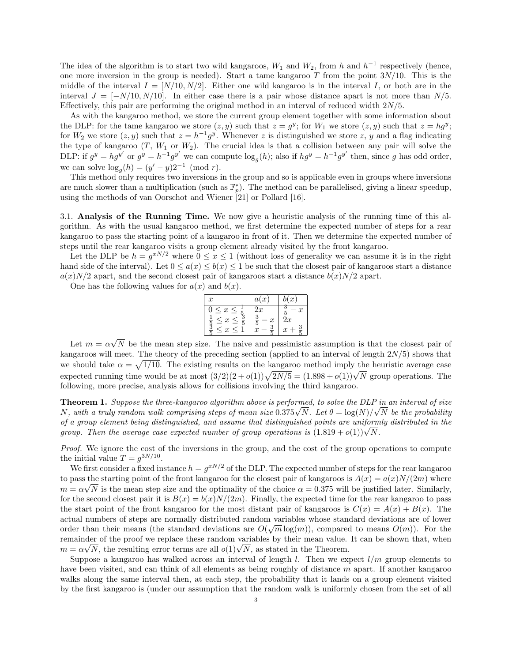The idea of the algorithm is to start two wild kangaroos,  $W_1$  and  $W_2$ , from h and  $h^{-1}$  respectively (hence, one more inversion in the group is needed). Start a tame kangaroo T from the point  $3N/10$ . This is the middle of the interval  $I = [N/10, N/2]$ . Either one wild kangaroo is in the interval I, or both are in the interval  $J = [-N/10, N/10]$ . In either case there is a pair whose distance apart is not more than  $N/5$ . Effectively, this pair are performing the original method in an interval of reduced width  $2N/5$ .

As with the kangaroo method, we store the current group element together with some information about the DLP: for the tame kangaroo we store  $(z, y)$  such that  $z = g^y$ ; for  $W_1$  we store  $(z, y)$  such that  $z = hg^y$ ; for  $W_2$  we store  $(z, y)$  such that  $z = h^{-1}g^y$ . Whenever z is distinguished we store z, y and a flag indicating the type of kangaroo  $(T, W_1$  or  $W_2)$ . The crucial idea is that a collision between any pair will solve the DLP: if  $g^y = hg^{y'}$  or  $g^y = h^{-1}g^{y'}$  we can compute  $\log_g(h)$ ; also if  $hg^y = h^{-1}g^{y'}$  then, since g has odd order, we can solve  $\log_g(h) = (y'-y)2^{-1} \pmod{r}$ .

This method only requires two inversions in the group and so is applicable even in groups where inversions are much slower than a multiplication (such as  $\mathbb{F}_p^*$ ). The method can be parallelised, giving a linear speedup, using the methods of van Oorschot and Wiener [21] or Pollard [16].

3.1. Analysis of the Running Time. We now give a heuristic analysis of the running time of this algorithm. As with the usual kangaroo method, we first determine the expected number of steps for a rear kangaroo to pass the starting point of a kangaroo in front of it. Then we determine the expected number of steps until the rear kangaroo visits a group element already visited by the front kangaroo.

Let the DLP be  $h = g^{xN/2}$  where  $0 \le x \le 1$  (without loss of generality we can assume it is in the right hand side of the interval). Let  $0 \le a(x) \le b(x) \le 1$  be such that the closest pair of kangaroos start a distance  $a(x)N/2$  apart, and the second closest pair of kangaroos start a distance  $b(x)N/2$  apart.

One has the following values for  $a(x)$  and  $b(x)$ .

| $\boldsymbol{x}$ | a(x)    | $\boldsymbol{x}$       |
|------------------|---------|------------------------|
|                  | Żχ<br>x | $\boldsymbol{x}$<br>2x |

Let  $m = \alpha$ √ N be the mean step size. The naive and pessimistic assumption is that the closest pair of kangaroos will meet. The theory of the preceding section (applied to an interval of length  $2N/5$ ) shows that we should take  $\alpha = \sqrt{1/10}$ . The existing results on the kangaroo method imply the heuristic average case we should take  $\alpha = \sqrt{1/10}$ . The existing results on the kangaroo method miply the heuristic average case<br>expected running time would be at most  $(3/2)(2+o(1))\sqrt{2N/5} = (1.898+o(1))\sqrt{N}$  group operations. The following, more precise, analysis allows for collisions involving the third kangaroo.

**Theorem 1.** Suppose the three-kangaroo algorithm above is performed, to solve the DLP in an interval of size **Theorem 1.** Suppose the three-kangaroo algorithm above is performed, to solve the DLP in an interval of size  $N$ , with a truly random walk comprising steps of mean size  $0.375\sqrt{N}$ . Let  $\theta = \log(N)/\sqrt{N}$  be the probability of a group element being distinguished, and assume that distinguished points are uniformly distributed in the of a group element being aistinguished, and assume that aistinguished points are uniform<br>group. Then the average case expected number of group operations is  $(1.819 + o(1))\sqrt{N}$ .

Proof. We ignore the cost of the inversions in the group, and the cost of the group operations to compute the initial value  $T = g^{3N/10}$ .

We first consider a fixed instance  $h = g^{xN/2}$  of the DLP. The expected number of steps for the rear kangaroo to pass the starting point of the front kangaroo for the closest pair of kangaroos is  $A(x) = a(x)N/(2m)$  where  $m = \alpha \sqrt{N}$  is the mean step size and the optimality of the choice  $\alpha = 0.375$  will be justified later. Similarly, for the second closest pair it is  $B(x) = b(x)N/(2m)$ . Finally, the expected time for the rear kangaroo to pass the start point of the front kangaroo for the most distant pair of kangaroos is  $C(x) = A(x) + B(x)$ . The actual numbers of steps are normally distributed random variables whose standard deviations are of lower order than their means (the standard deviations are  $O(\sqrt{m}\log(m))$ , compared to means  $O(m)$ ). For the remainder of the proof we replace these random variables by their mean value. It can be shown that, when remainder of the proof we replace these random variables by their mean value.<br>  $m = \alpha \sqrt{N}$ , the resulting error terms are all  $o(1)\sqrt{N}$ , as stated in the Theorem.

Suppose a kangaroo has walked across an interval of length l. Then we expect  $l/m$  group elements to have been visited, and can think of all elements as being roughly of distance m apart. If another kangaroo walks along the same interval then, at each step, the probability that it lands on a group element visited by the first kangaroo is (under our assumption that the random walk is uniformly chosen from the set of all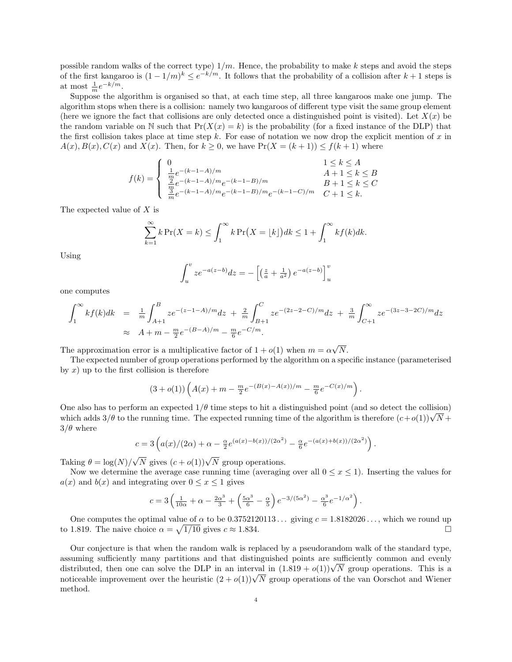possible random walks of the correct type)  $1/m$ . Hence, the probability to make k steps and avoid the steps of the first kangaroo is  $(1-1/m)^k \leq e^{-k/m}$ . It follows that the probability of a collision after  $k+1$  steps is at most  $\frac{1}{m}e^{-k/m}$ .

Suppose the algorithm is organised so that, at each time step, all three kangaroos make one jump. The algorithm stops when there is a collision: namely two kangaroos of different type visit the same group element (here we ignore the fact that collisions are only detected once a distinguished point is visited). Let  $X(x)$  be the random variable on N such that  $Pr(X(x) = k)$  is the probability (for a fixed instance of the DLP) that the first collision takes place at time step k. For ease of notation we now drop the explicit mention of x in  $A(x), B(x), C(x)$  and  $X(x)$ . Then, for  $k \geq 0$ , we have  $Pr(X = (k+1)) \leq f(k+1)$  where

$$
f(k) = \begin{cases} 0 & 1 \le k \le A \\ \frac{1}{m}e^{-(k-1-A)/m} & A+1 \le k \le B \\ \frac{2}{m}e^{-(k-1-A)/m}e^{-(k-1-B)/m} & B+1 \le k \le C \\ \frac{2}{m}e^{-(k-1-A)/m}e^{-(k-1-B)/m}e^{-(k-1-C)/m} & C+1 \le k. \end{cases}
$$

The expected value of X is

$$
\sum_{k=1}^{\infty} k \Pr(X = k) \le \int_{1}^{\infty} k \Pr(X = \lfloor k \rfloor) dk \le 1 + \int_{1}^{\infty} k f(k) dk.
$$

Using

$$
\int_u^v ze^{-a(z-b)}dz = -\left[\left(\frac{z}{a} + \frac{1}{a^2}\right)e^{-a(z-b)}\right]_u^v
$$

one computes

$$
\int_{1}^{\infty} kf(k)dk = \frac{1}{m} \int_{A+1}^{B} ze^{-(z-1-A)/m} dz + \frac{2}{m} \int_{B+1}^{C} ze^{-(2z-2-C)/m} dz + \frac{3}{m} \int_{C+1}^{\infty} ze^{-(3z-3-2C)/m} dz
$$
  

$$
\approx A + m - \frac{m}{2}e^{-(B-A)/m} - \frac{m}{6}e^{-C/m}.
$$

The approximation error is a multiplicative factor of  $1 + o(1)$  when  $m = \alpha$ √ N.

The expected number of group operations performed by the algorithm on a specific instance (parameterised by  $x$ ) up to the first collision is therefore

$$
(3+o(1))\left(A(x)+m-\frac{m}{2}e^{-(B(x)-A(x))/m}-\frac{m}{6}e^{-C(x)/m}\right).
$$

One also has to perform an expected  $1/\theta$  time steps to hit a distinguished point (and so detect the collision) One also has to perform an expected  $1/\sigma$  time steps to hit a distinguished point (and so detect the consion) which adds  $3/\theta$  to the running time. The expected running time of the algorithm is therefore  $(c+o(1))\sqrt{N}$  +  $3/\theta$  where

$$
c=3\left(a(x)/(2\alpha)+\alpha-\frac{\alpha}{2}e^{(a(x)-b(x))/(2\alpha^2)}-\frac{\alpha}{6}e^{-(a(x)+b(x))/(2\alpha^2)}\right).
$$

Taking  $\theta = \log(N)/$  $\sqrt{N}$  gives  $(c + o(1))\sqrt{N}$  group operations.

Now we determine the average case running time (averaging over all  $0 \leq x \leq 1$ ). Inserting the values for  $a(x)$  and  $b(x)$  and integrating over  $0 \le x \le 1$  gives

$$
c = 3\left(\frac{1}{10\alpha} + \alpha - \frac{2\alpha^3}{3} + \left(\frac{5\alpha^3}{6} - \frac{\alpha}{5}\right)e^{-3/(5\alpha^2)} - \frac{\alpha^3}{6}e^{-1/\alpha^2}\right)
$$

.

One computes the optimal value of  $\alpha$  to be 0.3752120113... giving  $c = 1.8182026...$ , which we round up to 1.819. The naive choice  $\alpha = \sqrt{1/10}$  gives  $c \approx 1.834$ .

Our conjecture is that when the random walk is replaced by a pseudorandom walk of the standard type, assuming sufficiently many partitions and that distinguished points are sufficiently common and evenly assuming sumclently many partitions and that distinguished points are sumclently common and evenly<br>distributed, then one can solve the DLP in an interval in  $(1.819 + o(1))\sqrt{N}$  group operations. This is a distributed, then one can solve the DLF in an interval in  $(1.819 + o(1))\sqrt{N}$  group operations. This is a noticeable improvement over the heuristic  $(2 + o(1))\sqrt{N}$  group operations of the van Oorschot and Wiener method.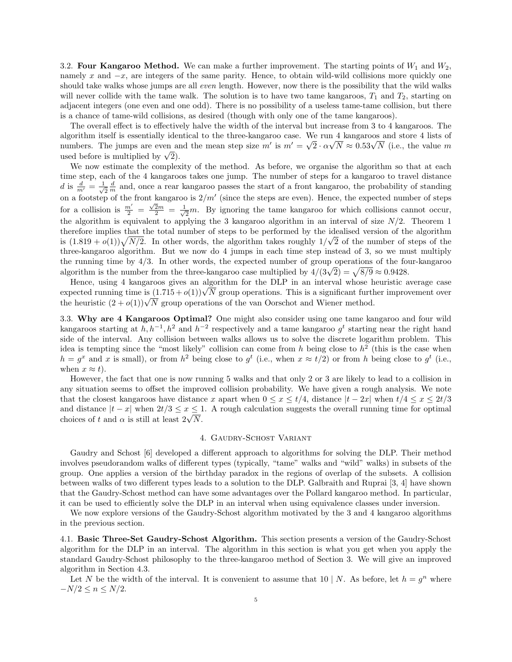3.2. Four Kangaroo Method. We can make a further improvement. The starting points of  $W_1$  and  $W_2$ . namely x and  $-x$ , are integers of the same parity. Hence, to obtain wild-wild collisions more quickly one should take walks whose jumps are all *even* length. However, now there is the possibility that the wild walks will never collide with the tame walk. The solution is to have two tame kangaroos,  $T_1$  and  $T_2$ , starting on adjacent integers (one even and one odd). There is no possibility of a useless tame-tame collision, but there is a chance of tame-wild collisions, as desired (though with only one of the tame kangaroos).

The overall effect is to effectively halve the width of the interval but increase from 3 to 4 kangaroos. The algorithm itself is essentially identical to the three-kangaroo case. We run 4 kangaroos and store 4 lists of algorithm itself is essentially identical to the three-kangaroo case. We run 4 kangaroos and store 4 lists of<br>numbers. The jumps are even and the mean step size m' is  $m' = \sqrt{2} \cdot \alpha \sqrt{N} \approx 0.53 \sqrt{N}$  (i.e., the value m numbers. The jumps are even an<br>used before is multiplied by  $\sqrt{2}$ ).

We now estimate the complexity of the method. As before, we organise the algorithm so that at each time step, each of the 4 kangaroos takes one jump. The number of steps for a kangaroo to travel distance d is  $\frac{d}{m'} = \frac{1}{\sqrt{2}}$ 2  $\frac{d}{m}$  and, once a rear kangaroo passes the start of a front kangaroo, the probability of standing on a footstep of the front kangaroo is  $2/m'$  (since the steps are even). Hence, the expected number of steps for a collision is  $\frac{m'}{2} = \frac{\sqrt{2}m}{2} = \frac{1}{\sqrt{2}}$  $\frac{1}{2}m$ . By ignoring the tame kangaroo for which collisions cannot occur, the algorithm is equivalent to applying the 3 kangaroo algorithm in an interval of size  $N/2$ . Theorem 1 therefore implies that the total number of steps to be performed by the idealised version of the algorithm is  $(1.819 + o(1))\sqrt{N/2}$ . In other words, the algorithm takes roughly  $1/\sqrt{2}$  of the number of steps of the three-kangaroo algorithm. But we now do 4 jumps in each time step instead of 3, so we must multiply the running time by 4/3. In other words, the expected number of group operations of the four-kangaroo the running time by 4/3. In other words, the expected number of group operations of the following algorithm is the number from the three-kangaroo case multiplied by  $4/(3\sqrt{2}) = \sqrt{8/9} \approx 0.9428$ .

Hence, using 4 kangaroos gives an algorithm for the DLP in an interval whose heuristic average case Hence, using 4 kangaroos gives an algorithm for the DLP in an interval whose neuristic average case<br>expected running time is  $(1.715 + o(1))\sqrt{N}$  group operations. This is a significant further improvement over expected running time is  $(1.713 + o(1))\sqrt{N}$  group operations. This is a significant further method.

3.3. Why are 4 Kangaroos Optimal? One might also consider using one tame kangaroo and four wild kangaroos starting at  $h, h^{-1}, h^2$  and  $h^{-2}$  respectively and a tame kangaroo  $g^t$  starting near the right hand side of the interval. Any collision between walks allows us to solve the discrete logarithm problem. This idea is tempting since the "most likely" collision can come from h being close to  $h^2$  (this is the case when  $h = g^x$  and x is small), or from  $h^2$  being close to  $g^t$  (i.e., when  $x \approx t/2$ ) or from h being close to  $g^t$  (i.e., when  $x \approx t$ ).

However, the fact that one is now running 5 walks and that only 2 or 3 are likely to lead to a collision in any situation seems to offset the improved collision probability. We have given a rough analysis. We note that the closest kangaroos have distance x apart when  $0 \leq x \leq t/4$ , distance  $|t - 2x|$  when  $t/4 \leq x \leq 2t/3$ and distance  $|t - x|$  when  $2t/3 \le x \le 1$ . A rough calculation suggests the overall running time for optimal and distance  $|t - x|$  when  $2t/3 \leq x \leq 1$ <br>choices of t and  $\alpha$  is still at least  $2\sqrt{N}$ .

# 4. Gaudry-Schost Variant

Gaudry and Schost [6] developed a different approach to algorithms for solving the DLP. Their method involves pseudorandom walks of different types (typically, "tame" walks and "wild" walks) in subsets of the group. One applies a version of the birthday paradox in the regions of overlap of the subsets. A collision between walks of two different types leads to a solution to the DLP. Galbraith and Ruprai [3, 4] have shown that the Gaudry-Schost method can have some advantages over the Pollard kangaroo method. In particular, it can be used to efficiently solve the DLP in an interval when using equivalence classes under inversion.

We now explore versions of the Gaudry-Schost algorithm motivated by the 3 and 4 kangaroo algorithms in the previous section.

4.1. Basic Three-Set Gaudry-Schost Algorithm. This section presents a version of the Gaudry-Schost algorithm for the DLP in an interval. The algorithm in this section is what you get when you apply the standard Gaudry-Schost philosophy to the three-kangaroo method of Section 3. We will give an improved algorithm in Section 4.3.

Let N be the width of the interval. It is convenient to assume that  $10 \mid N$ . As before, let  $h = g^n$  where  $-N/2 \leq n \leq N/2$ .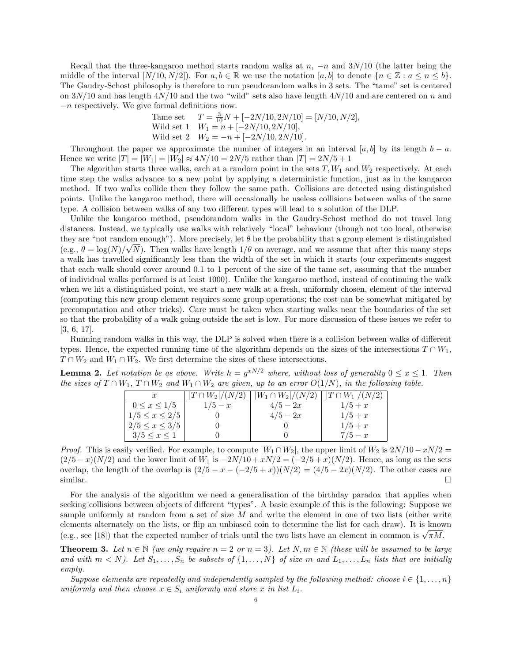Recall that the three-kangaroo method starts random walks at n,  $-n$  and  $3N/10$  (the latter being the middle of the interval  $[N/10, N/2]$ . For  $a, b \in \mathbb{R}$  we use the notation  $[a, b]$  to denote  $\{n \in \mathbb{Z} : a \leq n \leq b\}$ . The Gaudry-Schost philosophy is therefore to run pseudorandom walks in 3 sets. The "tame" set is centered on  $3N/10$  and has length  $4N/10$  and the two "wild" sets also have length  $4N/10$  and are centered on n and  $-n$  respectively. We give formal definitions now.

| Tame set $T = \frac{3}{10}N + [-2N/10, 2N/10] = [N/10, N/2],$ |
|---------------------------------------------------------------|
| Wild set $1$ $W_1 = n + [-2N/10, 2N/10],$                     |
| Wild set 2 $W_2 = -n + [-2N/10, 2N/10].$                      |

Throughout the paper we approximate the number of integers in an interval [a, b] by its length  $b - a$ . Hence we write  $|T| = |W_1| = |W_2| \approx 4N/10 = 2N/5$  rather than  $|T| = 2N/5 + 1$ 

The algorithm starts three walks, each at a random point in the sets  $T, W_1$  and  $W_2$  respectively. At each time step the walks advance to a new point by applying a deterministic function, just as in the kangaroo method. If two walks collide then they follow the same path. Collisions are detected using distinguished points. Unlike the kangaroo method, there will occasionally be useless collisions between walks of the same type. A collision between walks of any two different types will lead to a solution of the DLP.

Unlike the kangaroo method, pseudorandom walks in the Gaudry-Schost method do not travel long distances. Instead, we typically use walks with relatively "local" behaviour (though not too local, otherwise they are "not random enough"). More precisely, let  $\theta$  be the probability that a group element is distinguished  $(e.g., \theta = \log(N)/\sqrt{N})$ . Then walks have length  $1/\theta$  on average, and we assume that after this many steps a walk has travelled significantly less than the width of the set in which it starts (our experiments suggest that each walk should cover around 0.1 to 1 percent of the size of the tame set, assuming that the number of individual walks performed is at least 1000). Unlike the kangaroo method, instead of continuing the walk when we hit a distinguished point, we start a new walk at a fresh, uniformly chosen, element of the interval (computing this new group element requires some group operations; the cost can be somewhat mitigated by precomputation and other tricks). Care must be taken when starting walks near the boundaries of the set so that the probability of a walk going outside the set is low. For more discussion of these issues we refer to [3, 6, 17].

Running random walks in this way, the DLP is solved when there is a collision between walks of different types. Hence, the expected running time of the algorithm depends on the sizes of the intersections  $T \cap W_1$ ,  $T \cap W_2$  and  $W_1 \cap W_2$ . We first determine the sizes of these intersections.

|  |  |  |  |  | <b>Lemma 2.</b> Let notation be as above. Write $h = g^{xN/2}$ where, without loss of generality $0 \le x \le 1$ . Then  |  |  |  |
|--|--|--|--|--|--------------------------------------------------------------------------------------------------------------------------|--|--|--|
|  |  |  |  |  | the sizes of $T \cap W_1$ , $T \cap W_2$ and $W_1 \cap W_2$ are given, up to an error $O(1/N)$ , in the following table. |  |  |  |

|                       | $ T \cap W_2 /(N/2)$ | $ W_1 \cap W_2 /(N/2) $ | $ T \cap W_1 /(N/2) $ |
|-----------------------|----------------------|-------------------------|-----------------------|
| $0 \leq x \leq 1/5$   | $1/5 - x$            | $4/5 - 2x$              | $1/5 + x$             |
| $1/5 \leq x \leq 2/5$ |                      | $4/5 - 2x$              | $1/5 + x$             |
| $2/5 \leq x \leq 3/5$ |                      |                         | $1/5 + x$             |
| $3/5 \leq x \leq 1$   |                      |                         | $7/5 - x$             |

*Proof.* This is easily verified. For example, to compute  $|W_1 \cap W_2|$ , the upper limit of  $W_2$  is  $2N/10-xN/2 =$  $(2/5 - x)(N/2)$  and the lower limit of  $W_1$  is  $-2N/10 + xN/2 = (-2/5 + x)(N/2)$ . Hence, as long as the sets overlap, the length of the overlap is  $(2/5 - x - (-2/5 + x))(N/2) = (4/5 - 2x)(N/2)$ . The other cases are  $\sum$ 

For the analysis of the algorithm we need a generalisation of the birthday paradox that applies when seeking collisions between objects of different "types". A basic example of this is the following: Suppose we sample uniformly at random from a set of size M and write the element in one of two lists (either write elements alternately on the lists, or flip an unbiased coin to determine the list for each draw). It is known elements atternately on the lists, or mp an unbiased coin to determine the list for each draw). It is know<br>(e.g., see [18]) that the expected number of trials until the two lists have an element in common is  $\sqrt{\pi M}$ .

**Theorem 3.** Let  $n \in \mathbb{N}$  (we only require  $n = 2$  or  $n = 3$ ). Let  $N, m \in \mathbb{N}$  (these will be assumed to be large and with  $m \lt N$ ). Let  $S_1, \ldots, S_n$  be subsets of  $\{1, \ldots, N\}$  of size m and  $L_1, \ldots, L_n$  lists that are initially empty.

Suppose elements are repeatedly and independently sampled by the following method: choose  $i \in \{1, \ldots, n\}$ uniformly and then choose  $x \in S_i$  uniformly and store x in list  $L_i$ .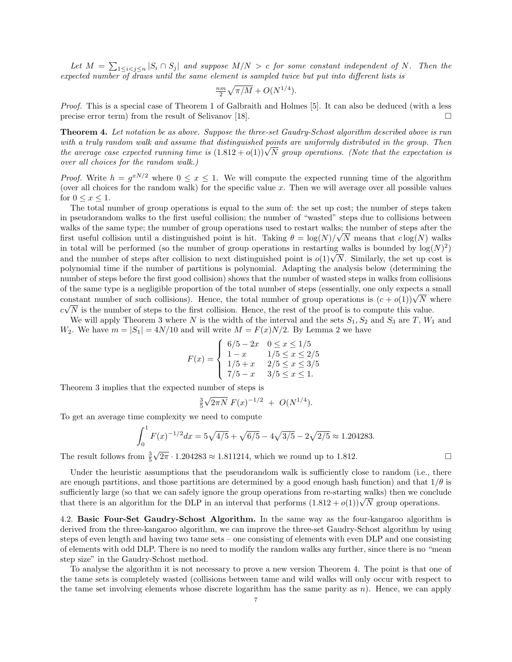Let  $M = \sum_{1 \leq i < j \leq n} |S_i \cap S_j|$  and suppose  $M/N > c$  for some constant independent of N. Then the expected number of  $d\bar{r}$  aws until the same element is sampled twice but put into different lists is

$$
\frac{nm}{2}\sqrt{\pi/M} + O(N^{1/4}).
$$

Proof. This is a special case of Theorem 1 of Galbraith and Holmes [5]. It can also be deduced (with a less precise error term) from the result of Selivanov [18].

Theorem 4. Let notation be as above. Suppose the three-set Gaudry-Schost algorithm described above is run with a truly random walk and assume that distinguished points are uniformly distributed in the group. Then with a truly random walk and assume that alstinguished points are uniformly alstributed in the group. Then the average case expected running time is  $(1.812 + o(1))\sqrt{N}$  group operations. (Note that the expectation is over all choices for the random walk.)

*Proof.* Write  $h = g^{xN/2}$  where  $0 \le x \le 1$ . We will compute the expected running time of the algorithm (over all choices for the random walk) for the specific value  $x$ . Then we will average over all possible values for  $0 \leq x \leq 1$ .

The total number of group operations is equal to the sum of: the set up cost; the number of steps taken in pseudorandom walks to the first useful collision; the number of "wasted" steps due to collisions between walks of the same type; the number of group operations used to restart walks; the number of steps after the first useful collision until a distinguished point is hit. Taking  $\theta = \log(N)/\sqrt{N}$  means that  $c \log(N)$  walks in total will be performed (so the number of group operations in restarting walks is bounded by  $log(N)^2$ ) and the number of steps after collision to next distinguished point is  $o(1)\sqrt{N}$ . Similarly, the set up cost is and the number of steps after collision to next distinguished point is  $o(1)\sqrt{N}$ . Similarly, the set up cos polynomial time if the number of partitions is polynomial. Adapting the analysis below (determining the number of steps before the first good collision) shows that the number of wasted steps in walks from collisions of the same type is a negligible proportion of the total number of steps (essentially, one only expects a small or the same type is a negligible proportion of the total number of steps (essentially, one only expects a small<br>constant number of such collisions). Hence, the total number of group operations is  $(c + o(1))\sqrt{N}$  where  $c\sqrt{N}$  is the number of steps to the first collision. Hence, the rest of the proof is to compute this value.

We will apply Theorem 3 where N is the width of the interval and the sets  $S_1, S_2$  and  $S_3$  are T,  $W_1$  and  $W_2$ . We have  $m = |S_1| = 4N/10$  and will write  $M = F(x)N/2$ . By Lemma 2 we have

$$
F(x) = \begin{cases} 6/5 - 2x & 0 \le x \le 1/5 \\ 1 - x & 1/5 \le x \le 2/5 \\ 1/5 + x & 2/5 \le x \le 3/5 \\ 7/5 - x & 3/5 \le x \le 1. \end{cases}
$$

Theorem 3 implies that the expected number of steps is

$$
\frac{3}{5}\sqrt{2\pi N} F(x)^{-1/2} + O(N^{1/4}).
$$

To get an average time complexity we need to compute

$$
\int_0^1 F(x)^{-1/2} dx = 5\sqrt{4/5} + \sqrt{6/5} - 4\sqrt{3/5} - 2\sqrt{2/5} \approx 1.204283.
$$
  
from  $\frac{3}{5}\sqrt{2\pi} \cdot 1.204283 \approx 1.811214$ , which we round up to 1.812.

The result follows from  $\frac{3}{5}$ 

Under the heuristic assumptions that the pseudorandom walk is sufficiently close to random (i.e., there are enough partitions, and those partitions are determined by a good enough hash function) and that  $1/\theta$  is sufficiently large (so that we can safely ignore the group operations from re-starting walks) then we conclude sumerting warks) then we can safely ignore the group operations from re-starting warks) then we conclude that there is an algorithm for the DLP in an interval that performs  $(1.812 + o(1))\sqrt{N}$  group operations.

4.2. Basic Four-Set Gaudry-Schost Algorithm. In the same way as the four-kangaroo algorithm is derived from the three-kangaroo algorithm, we can improve the three-set Gaudry-Schost algorithm by using steps of even length and having two tame sets – one consisting of elements with even DLP and one consisting of elements with odd DLP. There is no need to modify the random walks any further, since there is no "mean step size" in the Gaudry-Schost method.

To analyse the algorithm it is not necessary to prove a new version Theorem 4. The point is that one of the tame sets is completely wasted (collisions between tame and wild walks will only occur with respect to the tame set involving elements whose discrete logarithm has the same parity as  $n$ ). Hence, we can apply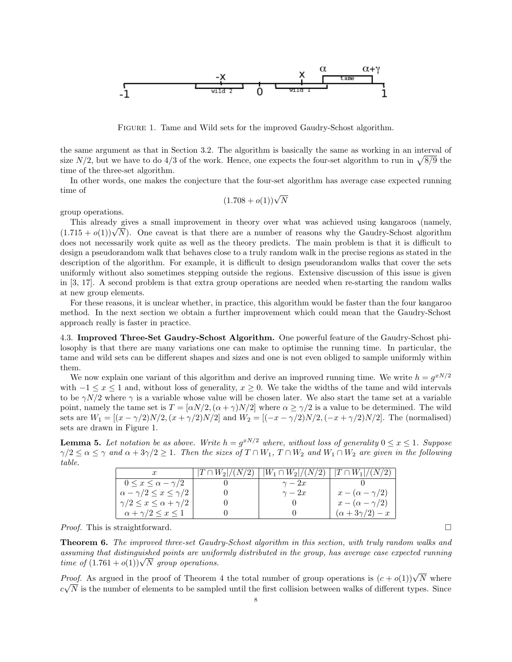

Figure 1. Tame and Wild sets for the improved Gaudry-Schost algorithm.

the same argument as that in Section 3.2. The algorithm is basically the same as working in an interval of size  $N/2$ , but we have to do 4/3 of the work. Hence, one expects the four-set algorithm to run in  $\sqrt{8/9}$  the time of the three-set algorithm.

In other words, one makes the conjecture that the four-set algorithm has average case expected running time of

$$
(1.708 + o(1))\sqrt{N}
$$

group operations.

This already gives a small improvement in theory over what was achieved using kangaroos (namely, This already gives a small improvement in theory over what was achieved using kangaroos (namely,  $(1.715 + o(1))\sqrt{N}$ ). One caveat is that there are a number of reasons why the Gaudry-Schost algorithm does not necessarily work quite as well as the theory predicts. The main problem is that it is difficult to design a pseudorandom walk that behaves close to a truly random walk in the precise regions as stated in the description of the algorithm. For example, it is difficult to design pseudorandom walks that cover the sets uniformly without also sometimes stepping outside the regions. Extensive discussion of this issue is given in [3, 17]. A second problem is that extra group operations are needed when re-starting the random walks at new group elements.

For these reasons, it is unclear whether, in practice, this algorithm would be faster than the four kangaroo method. In the next section we obtain a further improvement which could mean that the Gaudry-Schost approach really is faster in practice.

4.3. Improved Three-Set Gaudry-Schost Algorithm. One powerful feature of the Gaudry-Schost philosophy is that there are many variations one can make to optimise the running time. In particular, the tame and wild sets can be different shapes and sizes and one is not even obliged to sample uniformly within them.

We now explain one variant of this algorithm and derive an improved running time. We write  $h = g^{xN/2}$ with  $-1 \le x \le 1$  and, without loss of generality,  $x \ge 0$ . We take the widths of the tame and wild intervals to be  $\gamma N/2$  where  $\gamma$  is a variable whose value will be chosen later. We also start the tame set at a variable point, namely the tame set is  $T = [\alpha N/2, (\alpha + \gamma)N/2]$  where  $\alpha \ge \gamma/2$  is a value to be determined. The wild sets are  $W_1 = [(x - \gamma/2)N/2, (x + \gamma/2)N/2]$  and  $W_2 = [(-x - \gamma/2)N/2, (-x + \gamma/2)N/2]$ . The (normalised) sets are drawn in Figure 1.

**Lemma 5.** Let notation be as above. Write  $h = g^{xN/2}$  where, without loss of generality  $0 \le x \le 1$ . Suppose  $\gamma/2 \leq \alpha \leq \gamma$  and  $\alpha + 3\gamma/2 \geq 1$ . Then the sizes of  $T \cap W_1$ ,  $T \cap W_2$  and  $W_1 \cap W_2$  are given in the following table.

|                                          | $ T \cap W_2 /(N/2)$ | $ W_1 \cap W_2 /(N/2) $ | $ T \cap W_1 /(N/2)$       |
|------------------------------------------|----------------------|-------------------------|----------------------------|
| $0 \leq x \leq \alpha - \gamma/2$        |                      | $\gamma-2x$             |                            |
| $\alpha - \gamma/2 \leq x \leq \gamma/2$ |                      | $\gamma-2x$             | $x - (\alpha - \gamma/2)$  |
| $\gamma/2 \leq x \leq \alpha + \gamma/2$ |                      |                         | $x - (\alpha - \gamma/2)$  |
| $\alpha + \gamma/2 \leq x \leq 1$        |                      |                         | $(\alpha + 3\gamma/2) - x$ |

*Proof.* This is straightforward.  $\square$ 

Theorem 6. The improved three-set Gaudry-Schost algorithm in this section, with truly random walks and assuming that distinguished points are uniformly distributed in the group, has average case expected running assuming that aistinguished points are uniform<br>time of  $(1.761 + o(1))\sqrt{N}$  group operations.

*Proof.* As argued in the proof of Theorem 4 the total number of group operations is  $(c+o(1))\sqrt{N}$  where  $c\sqrt{N}$  is the number of elements to be sampled until the first collision between walks of different types. Since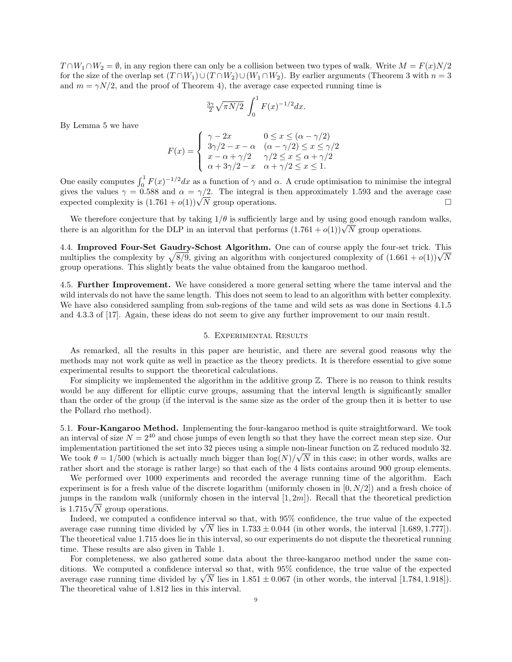$T \cap W_1 \cap W_2 = \emptyset$ , in any region there can only be a collision between two types of walk. Write  $M = F(x)N/2$ for the size of the overlap set  $(T \cap W_1) \cup (T \cap W_2) \cup (W_1 \cap W_2)$ . By earlier arguments (Theorem 3 with  $n = 3$ ) and  $m = \gamma N/2$ , and the proof of Theorem 4), the average case expected running time is

$$
\frac{3\gamma}{2}\sqrt{\pi N/2} \int_0^1 F(x)^{-1/2} dx.
$$

By Lemma 5 we have

$$
F(x) = \begin{cases} \gamma - 2x & 0 \le x \le (\alpha - \gamma/2) \\ 3\gamma/2 - x - \alpha & (\alpha - \gamma/2) \le x \le \gamma/2 \\ x - \alpha + \gamma/2 & \gamma/2 \le x \le \alpha + \gamma/2 \\ \alpha + 3\gamma/2 - x & \alpha + \gamma/2 \le x \le 1. \end{cases}
$$

One easily computes  $\int_0^1 F(x)^{-1/2} dx$  as a function of  $\gamma$  and  $\alpha$ . A crude optimisation to minimise the integral gives the values  $\gamma = 0.588$  and  $\alpha = \gamma/2$ . The integral is then approximately 1.593 and the average case expected complexity is  $(1.761 + o(1))\sqrt{N}$  group operations.  $\overline{N}$  group operations.

We therefore conjecture that by taking  $1/\theta$  is sufficiently large and by using good enough random walks, We therefore conjecture that by taxing  $1/\theta$  is sufficiently large and by using good enough random there is an algorithm for the DLP in an interval that performs  $(1.761 + o(1))\sqrt{N}$  group operations.

4.4. Improved Four-Set Gaudry-Schost Algorithm. One can of course apply the four-set trick. This 4.4. **Improved Four-Set Gaudry-Schost Algorithm.** One can or course apply the four-set trick. This multiplies the complexity by  $\sqrt{8/9}$ , giving an algorithm with conjectured complexity of  $(1.661 + o(1))\sqrt{N}$ group operations. This slightly beats the value obtained from the kangaroo method.

4.5. Further Improvement. We have considered a more general setting where the tame interval and the wild intervals do not have the same length. This does not seem to lead to an algorithm with better complexity. We have also considered sampling from sub-regions of the tame and wild sets as was done in Sections 4.1.5 and 4.3.3 of [17]. Again, these ideas do not seem to give any further improvement to our main result.

# 5. Experimental Results

As remarked, all the results in this paper are heuristic, and there are several good reasons why the methods may not work quite as well in practice as the theory predicts. It is therefore essential to give some experimental results to support the theoretical calculations.

For simplicity we implemented the algorithm in the additive group  $\mathbb Z$ . There is no reason to think results would be any different for elliptic curve groups, assuming that the interval length is significantly smaller than the order of the group (if the interval is the same size as the order of the group then it is better to use the Pollard rho method).

5.1. Four-Kangaroo Method. Implementing the four-kangaroo method is quite straightforward. We took an interval of size  $N = 2^{40}$  and chose jumps of even length so that they have the correct mean step size. Our implementation partitioned the set into 32 pieces using a simple non-linear function on  $\mathbb{Z}$  reduced modulo 32. We took  $\theta = 1/500$  (which is actually much bigger than  $\log(N)/\sqrt{N}$  in this case; in other words, walks are rather short and the storage is rather large) so that each of the 4 lists contains around 900 group elements.

We performed over 1000 experiments and recorded the average running time of the algorithm. Each experiment is for a fresh value of the discrete logarithm (uniformly chosen in  $[0, N/2]$ ) and a fresh choice of jumps in the random walk (uniformly chosen in the interval  $[1, 2m]$ ). Recall that the theoretical prediction jumps in the random waik (ultimations).<br>is 1.715√N group operations.

Indeed, we computed a confidence interval so that, with 95% confidence, the true value of the expected mass, we computed a connaence interval so that, with 95% connaence, the true value of the expected average case running time divided by  $\sqrt{N}$  lies in 1.733  $\pm$  0.044 (in other words, the interval [1.689, 1.777]). The theoretical value 1.715 does lie in this interval, so our experiments do not dispute the theoretical running time. These results are also given in Table 1.

For completeness, we also gathered some data about the three-kangaroo method under the same conditions. We computed a confidence interval so that, with 95% confidence, the true value of the expected attions. We computed a confidence interval so that, with 95% confidence, the true value of the expected average case running time divided by  $\sqrt{N}$  lies in 1.851  $\pm$  0.067 (in other words, the interval [1.784, 1.918]). The theoretical value of 1.812 lies in this interval.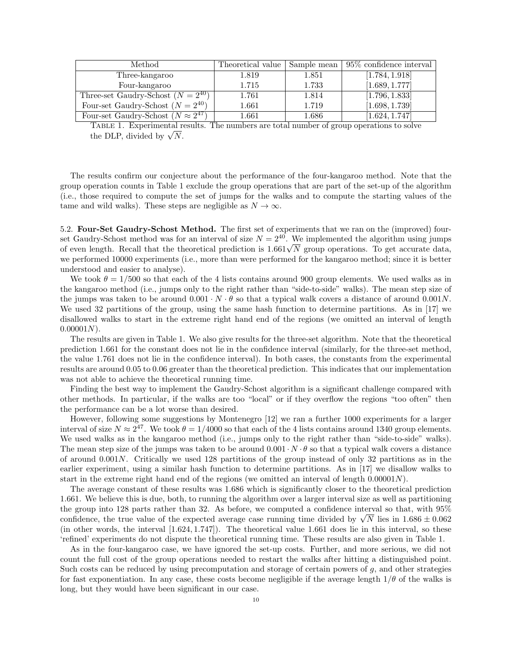| Method                                                 | Theoretical value | Sample mean | 95\% confidence interval |
|--------------------------------------------------------|-------------------|-------------|--------------------------|
| Three-kangaroo                                         | 1.819             | 1.851       | [1.784, 1.918]           |
| Four-kangaroo                                          | 1.715             | 1.733       | [1.689, 1.777]           |
| Three-set Gaudry-Schost $(N = 2^{40})$                 | 1.761             | 1.814       | [1.796, 1.833]           |
| Four-set Gaudry-Schost ( $N = 2^{40}$ )                | 1.661             | 1.719       | [1.698, 1.739]           |
| Four-set Gaudry-Schost $(\overline{N} \approx 2^{47})$ | $1.661\,$         | $1.686\,$   | [1.624, 1.747]           |

Table 1. Experimental results. The numbers are total number of group operations to solve TABLE 1. Experimental reduced by  $\sqrt{N}$ .

The results confirm our conjecture about the performance of the four-kangaroo method. Note that the group operation counts in Table 1 exclude the group operations that are part of the set-up of the algorithm (i.e., those required to compute the set of jumps for the walks and to compute the starting values of the tame and wild walks). These steps are negligible as  $N \to \infty$ .

5.2. Four-Set Gaudry-Schost Method. The first set of experiments that we ran on the (improved) fourset Gaudry-Schost method was for an interval of size  $N = 2^{40}$ . We implemented the algorithm using jumps set Gaudry-Schost method was for an interval of size  $N = 2^{\infty}$ . We implemented the algorithm using jumps of even length. Recall that the theoretical prediction is 1.661 $\sqrt{N}$  group operations. To get accurate data, we performed 10000 experiments (i.e., more than were performed for the kangaroo method; since it is better understood and easier to analyse).

We took  $\theta = 1/500$  so that each of the 4 lists contains around 900 group elements. We used walks as in the kangaroo method (i.e., jumps only to the right rather than "side-to-side" walks). The mean step size of the jumps was taken to be around  $0.001 \cdot N \cdot \theta$  so that a typical walk covers a distance of around  $0.001N$ . We used 32 partitions of the group, using the same hash function to determine partitions. As in [17] we disallowed walks to start in the extreme right hand end of the regions (we omitted an interval of length  $0.00001N$ ).

The results are given in Table 1. We also give results for the three-set algorithm. Note that the theoretical prediction 1.661 for the constant does not lie in the confidence interval (similarly, for the three-set method, the value 1.761 does not lie in the confidence interval). In both cases, the constants from the experimental results are around 0.05 to 0.06 greater than the theoretical prediction. This indicates that our implementation was not able to achieve the theoretical running time.

Finding the best way to implement the Gaudry-Schost algorithm is a significant challenge compared with other methods. In particular, if the walks are too "local" or if they overflow the regions "too often" then the performance can be a lot worse than desired.

However, following some suggestions by Montenegro [12] we ran a further 1000 experiments for a larger interval of size  $N \approx 2^{47}$ . We took  $\theta = 1/4000$  so that each of the 4 lists contains around 1340 group elements. We used walks as in the kangaroo method (i.e., jumps only to the right rather than "side-to-side" walks). The mean step size of the jumps was taken to be around  $0.001 \cdot N \cdot \theta$  so that a typical walk covers a distance of around 0.001N. Critically we used 128 partitions of the group instead of only 32 partitions as in the earlier experiment, using a similar hash function to determine partitions. As in [17] we disallow walks to start in the extreme right hand end of the regions (we omitted an interval of length  $0.00001N$ ).

The average constant of these results was 1.686 which is significantly closer to the theoretical prediction 1.661. We believe this is due, both, to running the algorithm over a larger interval size as well as partitioning the group into 128 parts rather than 32. As before, we computed a confidence interval so that, with 95% the group into 128 parts rather than 32. As before, we computed a confidence interval so that, with 95% confidence, the true value of the expected average case running time divided by  $\sqrt{N}$  lies in 1.686  $\pm$  0.062 (in other words, the interval [1.624, 1.747]). The theoretical value 1.661 does lie in this interval, so these 'refined' experiments do not dispute the theoretical running time. These results are also given in Table 1.

As in the four-kangaroo case, we have ignored the set-up costs. Further, and more serious, we did not count the full cost of the group operations needed to restart the walks after hitting a distinguished point. Such costs can be reduced by using precomputation and storage of certain powers of q, and other strategies for fast exponentiation. In any case, these costs become negligible if the average length  $1/\theta$  of the walks is long, but they would have been significant in our case.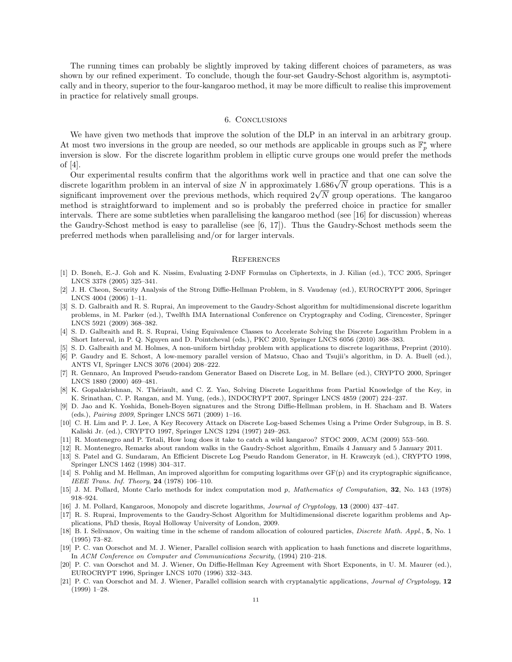The running times can probably be slightly improved by taking different choices of parameters, as was shown by our refined experiment. To conclude, though the four-set Gaudry-Schost algorithm is, asymptotically and in theory, superior to the four-kangaroo method, it may be more difficult to realise this improvement in practice for relatively small groups.

## 6. Conclusions

We have given two methods that improve the solution of the DLP in an interval in an arbitrary group. At most two inversions in the group are needed, so our methods are applicable in groups such as  $\mathbb{F}_p^*$  where inversion is slow. For the discrete logarithm problem in elliptic curve groups one would prefer the methods of [4].

Our experimental results confirm that the algorithms work well in practice and that one can solve the Our experimental results confirm that the algorithms work well in practice and that one can solve the discrete logarithm problem in an interval of size N in approximately  $1.686\sqrt{N}$  group operations. This is a discrete logarithm problem in an interval of size N in approximately 1.686 $\sqrt{N}$  group operations. The kangaroo significant improvement over the previous methods, which required  $2\sqrt{N}$  group operations. The kangaroo method is straightforward to implement and so is probably the preferred choice in practice for smaller intervals. There are some subtleties when parallelising the kangaroo method (see [16] for discussion) whereas the Gaudry-Schost method is easy to parallelise (see [6, 17]). Thus the Gaudry-Schost methods seem the preferred methods when parallelising and/or for larger intervals.

### **REFERENCES**

- [1] D. Boneh, E.-J. Goh and K. Nissim, Evaluating 2-DNF Formulas on Ciphertexts, in J. Kilian (ed.), TCC 2005, Springer LNCS 3378 (2005) 325–341.
- [2] J. H. Cheon, Security Analysis of the Strong Diffie-Hellman Problem, in S. Vaudenay (ed.), EUROCRYPT 2006, Springer LNCS 4004 (2006) 1–11.
- [3] S. D. Galbraith and R. S. Ruprai, An improvement to the Gaudry-Schost algorithm for multidimensional discrete logarithm problems, in M. Parker (ed.), Twelfth IMA International Conference on Cryptography and Coding, Cirencester, Springer LNCS 5921 (2009) 368–382.
- [4] S. D. Galbraith and R. S. Ruprai, Using Equivalence Classes to Accelerate Solving the Discrete Logarithm Problem in a Short Interval, in P. Q. Nguyen and D. Pointcheval (eds.), PKC 2010, Springer LNCS 6056 (2010) 368–383.
- [5] S. D. Galbraith and M. Holmes, A non-uniform birthday problem with applications to discrete logarithms, Preprint (2010).
- [6] P. Gaudry and E. Schost, A low-memory parallel version of Matsuo, Chao and Tsujii's algorithm, in D. A. Buell (ed.), ANTS VI, Springer LNCS 3076 (2004) 208–222.
- [7] R. Gennaro, An Improved Pseudo-random Generator Based on Discrete Log, in M. Bellare (ed.), CRYPTO 2000, Springer LNCS 1880 (2000) 469–481.
- [8] K. Gopalakrishnan, N. Thériault, and C. Z. Yao, Solving Discrete Logarithms from Partial Knowledge of the Key, in K. Srinathan, C. P. Rangan, and M. Yung, (eds.), INDOCRYPT 2007, Springer LNCS 4859 (2007) 224–237.
- [9] D. Jao and K. Yoshida, Boneh-Boyen signatures and the Strong Diffie-Hellman problem, in H. Shacham and B. Waters (eds.), Pairing 2009, Springer LNCS 5671 (2009) 1–16.
- [10] C. H. Lim and P. J. Lee, A Key Recovery Attack on Discrete Log-based Schemes Using a Prime Order Subgroup, in B. S. Kaliski Jr. (ed.), CRYPTO 1997, Springer LNCS 1294 (1997) 249–263.
- [11] R. Montenegro and P. Tetali, How long does it take to catch a wild kangaroo? STOC 2009, ACM (2009) 553–560.
- [12] R. Montenegro, Remarks about random walks in the Gaudry-Schost algorithm, Emails 4 January and 5 January 2011.
- [13] S. Patel and G. Sundaram, An Efficient Discrete Log Pseudo Random Generator, in H. Krawczyk (ed.), CRYPTO 1998, Springer LNCS 1462 (1998) 304–317.
- [14] S. Pohlig and M. Hellman, An improved algorithm for computing logarithms over GF(p) and its cryptographic significance, IEEE Trans. Inf. Theory, 24 (1978) 106–110.
- [15] J. M. Pollard, Monte Carlo methods for index computation mod p, Mathematics of Computation, 32, No. 143 (1978) 918–924.
- [16] J. M. Pollard, Kangaroos, Monopoly and discrete logarithms, Journal of Cryptology, 13 (2000) 437–447.
- [17] R. S. Ruprai, Improvements to the Gaudry-Schost Algorithm for Multidimensional discrete logarithm problems and Applications, PhD thesis, Royal Holloway University of London, 2009.
- [18] B. I. Selivanov, On waiting time in the scheme of random allocation of coloured particles, *Discrete Math. Appl.*, 5, No. 1 (1995) 73–82.
- [19] P. C. van Oorschot and M. J. Wiener, Parallel collision search with application to hash functions and discrete logarithms, In ACM Conference on Computer and Communications Security, (1994) 210–218.
- [20] P. C. van Oorschot and M. J. Wiener, On Diffie-Hellman Key Agreement with Short Exponents, in U. M. Maurer (ed.), EUROCRYPT 1996, Springer LNCS 1070 (1996) 332–343.
- [21] P. C. van Oorschot and M. J. Wiener, Parallel collision search with cryptanalytic applications, Journal of Cryptology, 12 (1999) 1–28.